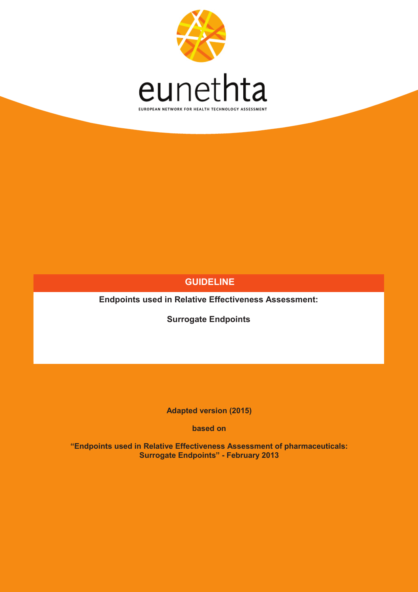

## **GUIDELINE**

**Endpoints used in Relative Effectiveness Assessment:**

**Surrogate Endpoints**

**Adapted version (2015)** 

**based on**

**"Endpoints used in Relative Effectiveness Assessment of pharmaceuticals: Surrogate Endpoints" - February 2013**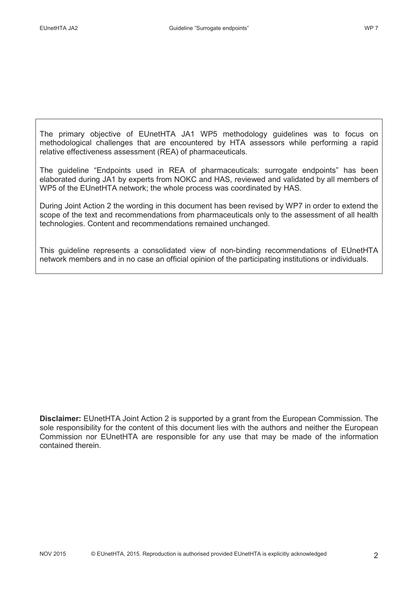The primary objective of EUnetHTA JA1 WP5 methodology guidelines was to focus on methodological challenges that are encountered by HTA assessors while performing a rapid relative effectiveness assessment (REA) of pharmaceuticals.

The guideline "Endpoints used in REA of pharmaceuticals: surrogate endpoints" has been elaborated during JA1 by experts from NOKC and HAS, reviewed and validated by all members of WP5 of the EUnetHTA network; the whole process was coordinated by HAS.

During Joint Action 2 the wording in this document has been revised by WP7 in order to extend the scope of the text and recommendations from pharmaceuticals only to the assessment of all health technologies. Content and recommendations remained unchanged.

This guideline represents a consolidated view of non-binding recommendations of EUnetHTA network members and in no case an official opinion of the participating institutions or individuals.

**Disclaimer:** EUnetHTA Joint Action 2 is supported by a grant from the European Commission. The sole responsibility for the content of this document lies with the authors and neither the European Commission nor EUnetHTA are responsible for any use that may be made of the information contained therein.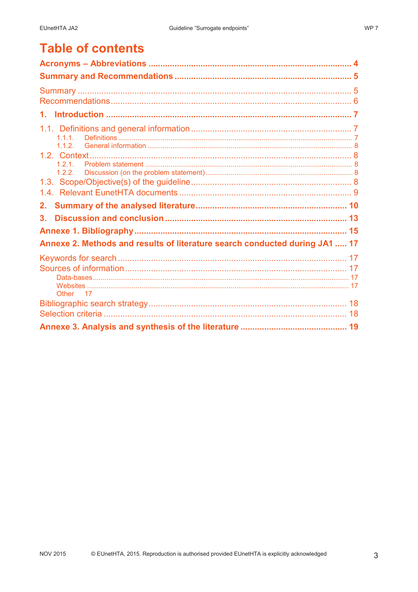# **Table of contents**

| 1.1.1.                                                                      |  |
|-----------------------------------------------------------------------------|--|
|                                                                             |  |
| 1.2.1.<br>1.2.2.                                                            |  |
|                                                                             |  |
| 2.                                                                          |  |
| 3.                                                                          |  |
|                                                                             |  |
| Annexe 2. Methods and results of literature search conducted during JA1  17 |  |
|                                                                             |  |
| Other 17                                                                    |  |
|                                                                             |  |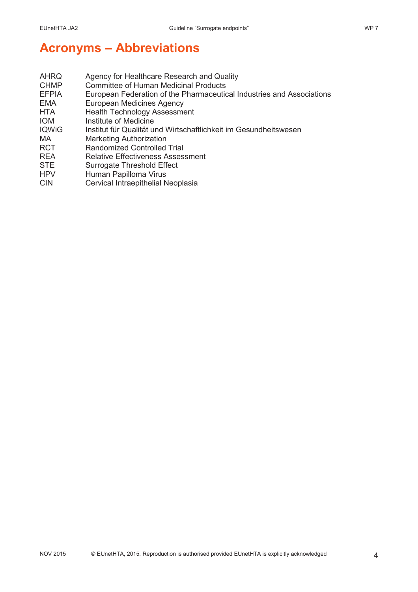# **Acronyms – Abbreviations**

| <b>AHRQ</b>  | Agency for Healthcare Research and Quality                            |
|--------------|-----------------------------------------------------------------------|
| <b>CHMP</b>  | <b>Committee of Human Medicinal Products</b>                          |
| <b>EFPIA</b> | European Federation of the Pharmaceutical Industries and Associations |
| EMA          | <b>European Medicines Agency</b>                                      |
| <b>HTA</b>   | <b>Health Technology Assessment</b>                                   |
| <b>IOM</b>   | Institute of Medicine                                                 |
| <b>IQWiG</b> | Institut für Qualität und Wirtschaftlichkeit im Gesundheitswesen      |
| MA.          | <b>Marketing Authorization</b>                                        |
| <b>RCT</b>   | <b>Randomized Controlled Trial</b>                                    |
| <b>REA</b>   | <b>Relative Effectiveness Assessment</b>                              |
| <b>STE</b>   | Surrogate Threshold Effect                                            |
| <b>HPV</b>   | Human Papilloma Virus                                                 |
|              |                                                                       |

CIN Cervical Intraepithelial Neoplasia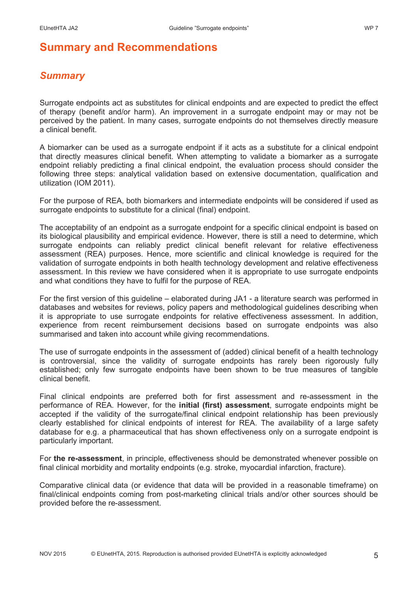# *Summary*

Surrogate endpoints act as substitutes for clinical endpoints and are expected to predict the effect of therapy (benefit and/or harm). An improvement in a surrogate endpoint may or may not be perceived by the patient. In many cases, surrogate endpoints do not themselves directly measure a clinical benefit.

A biomarker can be used as a surrogate endpoint if it acts as a substitute for a clinical endpoint that directly measures clinical benefit. When attempting to validate a biomarker as a surrogate endpoint reliably predicting a final clinical endpoint, the evaluation process should consider the following three steps: analytical validation based on extensive documentation, qualification and utilization (IOM 2011).

For the purpose of REA, both biomarkers and intermediate endpoints will be considered if used as surrogate endpoints to substitute for a clinical (final) endpoint.

The acceptability of an endpoint as a surrogate endpoint for a specific clinical endpoint is based on its biological plausibility and empirical evidence. However, there is still a need to determine, which surrogate endpoints can reliably predict clinical benefit relevant for relative effectiveness assessment (REA) purposes. Hence, more scientific and clinical knowledge is required for the validation of surrogate endpoints in both health technology development and relative effectiveness assessment. In this review we have considered when it is appropriate to use surrogate endpoints and what conditions they have to fulfil for the purpose of REA.

For the first version of this guideline – elaborated during JA1 - a literature search was performed in databases and websites for reviews, policy papers and methodological guidelines describing when it is appropriate to use surrogate endpoints for relative effectiveness assessment. In addition, experience from recent reimbursement decisions based on surrogate endpoints was also summarised and taken into account while giving recommendations.

The use of surrogate endpoints in the assessment of (added) clinical benefit of a health technology is controversial, since the validity of surrogate endpoints has rarely been rigorously fully established; only few surrogate endpoints have been shown to be true measures of tangible clinical benefit.

Final clinical endpoints are preferred both for first assessment and re-assessment in the performance of REA. However, for the **initial (first) assessment**, surrogate endpoints might be accepted if the validity of the surrogate/final clinical endpoint relationship has been previously clearly established for clinical endpoints of interest for REA. The availability of a large safety database for e.g. a pharmaceutical that has shown effectiveness only on a surrogate endpoint is particularly important.

For **the re-assessment**, in principle, effectiveness should be demonstrated whenever possible on final clinical morbidity and mortality endpoints (e.g. stroke, myocardial infarction, fracture).

Comparative clinical data (or evidence that data will be provided in a reasonable timeframe) on final/clinical endpoints coming from post-marketing clinical trials and/or other sources should be provided before the re-assessment.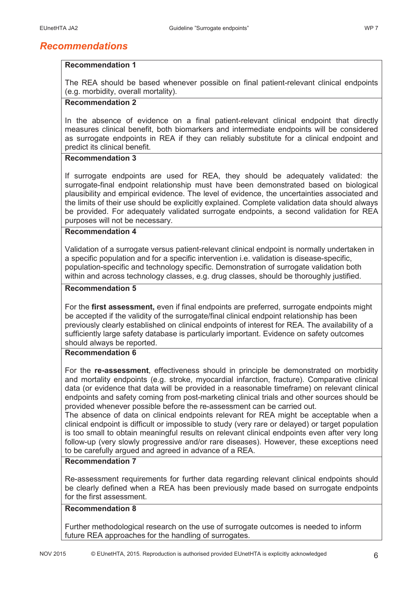## *Recommendations*

### **Recommendation 1**

The REA should be based whenever possible on final patient-relevant clinical endpoints (e.g. morbidity, overall mortality).

#### **Recommendation 2**

In the absence of evidence on a final patient-relevant clinical endpoint that directly measures clinical benefit, both biomarkers and intermediate endpoints will be considered as surrogate endpoints in REA if they can reliably substitute for a clinical endpoint and predict its clinical benefit.

### **Recommendation 3**

If surrogate endpoints are used for REA, they should be adequately validated: the surrogate-final endpoint relationship must have been demonstrated based on biological plausibility and empirical evidence. The level of evidence, the uncertainties associated and the limits of their use should be explicitly explained. Complete validation data should always be provided. For adequately validated surrogate endpoints, a second validation for REA purposes will not be necessary.

### **Recommendation 4**

Validation of a surrogate versus patient-relevant clinical endpoint is normally undertaken in a specific population and for a specific intervention i.e. validation is disease-specific, population-specific and technology specific. Demonstration of surrogate validation both within and across technology classes, e.g. drug classes, should be thoroughly justified.

### **Recommendation 5**

For the **first assessment,** even if final endpoints are preferred, surrogate endpoints might be accepted if the validity of the surrogate/final clinical endpoint relationship has been previously clearly established on clinical endpoints of interest for REA. The availability of a sufficiently large safety database is particularly important. Evidence on safety outcomes should always be reported.

#### **Recommendation 6**

For the **re-assessment**, effectiveness should in principle be demonstrated on morbidity and mortality endpoints (e.g. stroke, myocardial infarction, fracture). Comparative clinical data (or evidence that data will be provided in a reasonable timeframe) on relevant clinical endpoints and safety coming from post-marketing clinical trials and other sources should be provided whenever possible before the re-assessment can be carried out.

The absence of data on clinical endpoints relevant for REA might be acceptable when a clinical endpoint is difficult or impossible to study (very rare or delayed) or target population is too small to obtain meaningful results on relevant clinical endpoints even after very long follow-up (very slowly progressive and/or rare diseases). However, these exceptions need to be carefully argued and agreed in advance of a REA.

### **Recommendation 7**

Re-assessment requirements for further data regarding relevant clinical endpoints should be clearly defined when a REA has been previously made based on surrogate endpoints for the first assessment.

### **Recommendation 8**

Further methodological research on the use of surrogate outcomes is needed to inform future REA approaches for the handling of surrogates.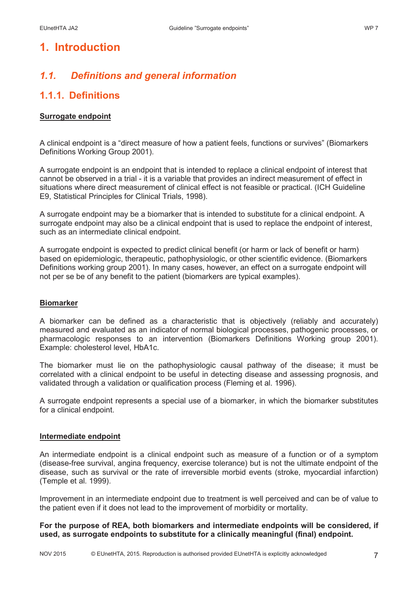# **1. Introduction**

# *1.1. Definitions and general information*

# **1.1.1. Definitions**

### **Surrogate endpoint**

A clinical endpoint is a "direct measure of how a patient feels, functions or survives" (Biomarkers Definitions Working Group 2001).

A surrogate endpoint is an endpoint that is intended to replace a clinical endpoint of interest that cannot be observed in a trial - it is a variable that provides an indirect measurement of effect in situations where direct measurement of clinical effect is not feasible or practical. (ICH Guideline E9, Statistical Principles for Clinical Trials, 1998).

A surrogate endpoint may be a biomarker that is intended to substitute for a clinical endpoint. A surrogate endpoint may also be a clinical endpoint that is used to replace the endpoint of interest, such as an intermediate clinical endpoint.

A surrogate endpoint is expected to predict clinical benefit (or harm or lack of benefit or harm) based on epidemiologic, therapeutic, pathophysiologic, or other scientific evidence. (Biomarkers Definitions working group 2001). In many cases, however, an effect on a surrogate endpoint will not per se be of any benefit to the patient (biomarkers are typical examples).

#### **Biomarker**

A biomarker can be defined as a characteristic that is objectively (reliably and accurately) measured and evaluated as an indicator of normal biological processes, pathogenic processes, or pharmacologic responses to an intervention (Biomarkers Definitions Working group 2001). Example: cholesterol level, HbA1c.

The biomarker must lie on the pathophysiologic causal pathway of the disease; it must be correlated with a clinical endpoint to be useful in detecting disease and assessing prognosis, and validated through a validation or qualification process (Fleming et al. 1996).

A surrogate endpoint represents a special use of a biomarker, in which the biomarker substitutes for a clinical endpoint.

#### **Intermediate endpoint**

An intermediate endpoint is a clinical endpoint such as measure of a function or of a symptom (disease-free survival, angina frequency, exercise tolerance) but is not the ultimate endpoint of the disease, such as survival or the rate of irreversible morbid events (stroke, myocardial infarction) (Temple et al. 1999).

Improvement in an intermediate endpoint due to treatment is well perceived and can be of value to the patient even if it does not lead to the improvement of morbidity or mortality.

**For the purpose of REA, both biomarkers and intermediate endpoints will be considered, if used, as surrogate endpoints to substitute for a clinically meaningful (final) endpoint.**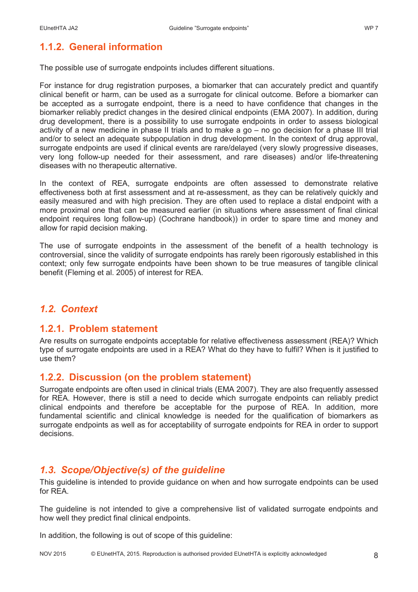# **1.1.2. General information**

The possible use of surrogate endpoints includes different situations.

For instance for drug registration purposes, a biomarker that can accurately predict and quantify clinical benefit or harm, can be used as a surrogate for clinical outcome. Before a biomarker can be accepted as a surrogate endpoint, there is a need to have confidence that changes in the biomarker reliably predict changes in the desired clinical endpoints (EMA 2007). In addition, during drug development, there is a possibility to use surrogate endpoints in order to assess biological activity of a new medicine in phase II trials and to make a go – no go decision for a phase III trial and/or to select an adequate subpopulation in drug development. In the context of drug approval, surrogate endpoints are used if clinical events are rare/delayed (very slowly progressive diseases, very long follow-up needed for their assessment, and rare diseases) and/or life-threatening diseases with no therapeutic alternative.

In the context of REA, surrogate endpoints are often assessed to demonstrate relative effectiveness both at first assessment and at re-assessment, as they can be relatively quickly and easily measured and with high precision. They are often used to replace a distal endpoint with a more proximal one that can be measured earlier (in situations where assessment of final clinical endpoint requires long follow-up) (Cochrane handbook)) in order to spare time and money and allow for rapid decision making.

The use of surrogate endpoints in the assessment of the benefit of a health technology is controversial, since the validity of surrogate endpoints has rarely been rigorously established in this context; only few surrogate endpoints have been shown to be true measures of tangible clinical benefit (Fleming et al. 2005) of interest for REA.

## *1.2. Context*

### **1.2.1. Problem statement**

Are results on surrogate endpoints acceptable for relative effectiveness assessment (REA)? Which type of surrogate endpoints are used in a REA? What do they have to fulfil? When is it justified to use them?

### **1.2.2. Discussion (on the problem statement)**

Surrogate endpoints are often used in clinical trials (EMA 2007). They are also frequently assessed for REA. However, there is still a need to decide which surrogate endpoints can reliably predict clinical endpoints and therefore be acceptable for the purpose of REA. In addition, more fundamental scientific and clinical knowledge is needed for the qualification of biomarkers as surrogate endpoints as well as for acceptability of surrogate endpoints for REA in order to support decisions.

### *1.3. Scope/Objective(s) of the guideline*

This guideline is intended to provide guidance on when and how surrogate endpoints can be used for RFA

The guideline is not intended to give a comprehensive list of validated surrogate endpoints and how well they predict final clinical endpoints.

In addition, the following is out of scope of this guideline: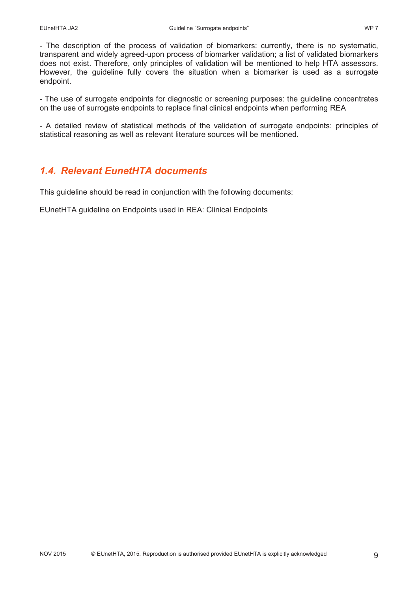- The description of the process of validation of biomarkers: currently, there is no systematic, transparent and widely agreed-upon process of biomarker validation; a list of validated biomarkers does not exist. Therefore, only principles of validation will be mentioned to help HTA assessors. However, the guideline fully covers the situation when a biomarker is used as a surrogate endpoint.

- The use of surrogate endpoints for diagnostic or screening purposes: the guideline concentrates on the use of surrogate endpoints to replace final clinical endpoints when performing REA

- A detailed review of statistical methods of the validation of surrogate endpoints: principles of statistical reasoning as well as relevant literature sources will be mentioned.

# *1.4. Relevant EunetHTA documents*

This guideline should be read in conjunction with the following documents:

EUnetHTA guideline on Endpoints used in REA: Clinical Endpoints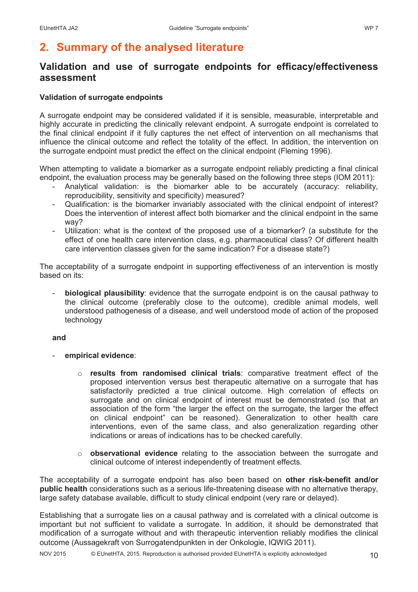# **2. Summary of the analysed literature**

## **Validation and use of surrogate endpoints for efficacy/effectiveness assessment**

### **Validation of surrogate endpoints**

A surrogate endpoint may be considered validated if it is sensible, measurable, interpretable and highly accurate in predicting the clinically relevant endpoint. A surrogate endpoint is correlated to the final clinical endpoint if it fully captures the net effect of intervention on all mechanisms that influence the clinical outcome and reflect the totality of the effect. In addition, the intervention on the surrogate endpoint must predict the effect on the clinical endpoint (Fleming 1996).

When attempting to validate a biomarker as a surrogate endpoint reliably predicting a final clinical endpoint, the evaluation process may be generally based on the following three steps (IOM 2011):

- Analytical validation: is the biomarker able to be accurately (accuracy: reliability, reproducibility, sensitivity and specificity) measured?
- Qualification: is the biomarker invariably associated with the clinical endpoint of interest? Does the intervention of interest affect both biomarker and the clinical endpoint in the same way?
- Utilization: what is the context of the proposed use of a biomarker? (a substitute for the effect of one health care intervention class, e.g. pharmaceutical class? Of different health care intervention classes given for the same indication? For a disease state?)

The acceptability of a surrogate endpoint in supporting effectiveness of an intervention is mostly based on its:

- **biological plausibility**: evidence that the surrogate endpoint is on the causal pathway to the clinical outcome (preferably close to the outcome), credible animal models, well understood pathogenesis of a disease, and well understood mode of action of the proposed technology

### **and**

- **empirical evidence**:
	- o **results from randomised clinical trials**: comparative treatment effect of the proposed intervention versus best therapeutic alternative on a surrogate that has satisfactorily predicted a true clinical outcome. High correlation of effects on surrogate and on clinical endpoint of interest must be demonstrated (so that an association of the form "the larger the effect on the surrogate, the larger the effect on clinical endpoint" can be reasoned). Generalization to other health care interventions, even of the same class, and also generalization regarding other indications or areas of indications has to be checked carefully.
	- o **observational evidence** relating to the association between the surrogate and clinical outcome of interest independently of treatment effects.

The acceptability of a surrogate endpoint has also been based on **other risk-benefit and/or public health** considerations such as a serious life-threatening disease with no alternative therapy, large safety database available, difficult to study clinical endpoint (very rare or delayed).

Establishing that a surrogate lies on a causal pathway and is correlated with a clinical outcome is important but not sufficient to validate a surrogate. In addition, it should be demonstrated that modification of a surrogate without and with therapeutic intervention reliably modifies the clinical outcome (Aussagekraft von Surrogatendpunkten in der Onkologie, IQWIG 2011).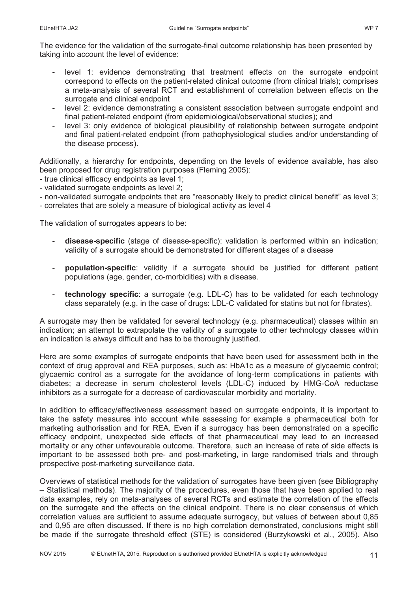The evidence for the validation of the surrogate-final outcome relationship has been presented by taking into account the level of evidence:

- level 1: evidence demonstrating that treatment effects on the surrogate endpoint correspond to effects on the patient-related clinical outcome (from clinical trials); comprises a meta-analysis of several RCT and establishment of correlation between effects on the surrogate and clinical endpoint
- level 2: evidence demonstrating a consistent association between surrogate endpoint and final patient-related endpoint (from epidemiological/observational studies); and
- level 3: only evidence of biological plausibility of relationship between surrogate endpoint and final patient-related endpoint (from pathophysiological studies and/or understanding of the disease process).

Additionally, a hierarchy for endpoints, depending on the levels of evidence available, has also been proposed for drug registration purposes (Fleming 2005):

- true clinical efficacy endpoints as level 1;

- validated surrogate endpoints as level 2;

- non-validated surrogate endpoints that are "reasonably likely to predict clinical benefit" as level 3;

- correlates that are solely a measure of biological activity as level 4

The validation of surrogates appears to be:

- **disease-specific** (stage of disease-specific): validation is performed within an indication; validity of a surrogate should be demonstrated for different stages of a disease
- **population-specific**: validity if a surrogate should be justified for different patient populations (age, gender, co-morbidities) with a disease.
- **technology specific**: a surrogate (e.g. LDL-C) has to be validated for each technology class separately (e.g. in the case of drugs: LDL-C validated for statins but not for fibrates).

A surrogate may then be validated for several technology (e.g. pharmaceutical) classes within an indication; an attempt to extrapolate the validity of a surrogate to other technology classes within an indication is always difficult and has to be thoroughly justified.

Here are some examples of surrogate endpoints that have been used for assessment both in the context of drug approval and REA purposes, such as: HbA1c as a measure of glycaemic control; glycaemic control as a surrogate for the avoidance of long-term complications in patients with diabetes; a decrease in serum cholesterol levels (LDL-C) induced by HMG-CoA reductase inhibitors as a surrogate for a decrease of cardiovascular morbidity and mortality.

In addition to efficacy/effectiveness assessment based on surrogate endpoints, it is important to take the safety measures into account while assessing for example a pharmaceutical both for marketing authorisation and for REA. Even if a surrogacy has been demonstrated on a specific efficacy endpoint, unexpected side effects of that pharmaceutical may lead to an increased mortality or any other unfavourable outcome. Therefore, such an increase of rate of side effects is important to be assessed both pre- and post-marketing, in large randomised trials and through prospective post-marketing surveillance data.

Overviews of statistical methods for the validation of surrogates have been given (see Bibliography – Statistical methods). The majority of the procedures, even those that have been applied to real data examples, rely on meta-analyses of several RCTs and estimate the correlation of the effects on the surrogate and the effects on the clinical endpoint. There is no clear consensus of which correlation values are sufficient to assume adequate surrogacy, but values of between about 0,85 and 0,95 are often discussed. If there is no high correlation demonstrated, conclusions might still be made if the surrogate threshold effect (STE) is considered (Burzykowski et al., 2005). Also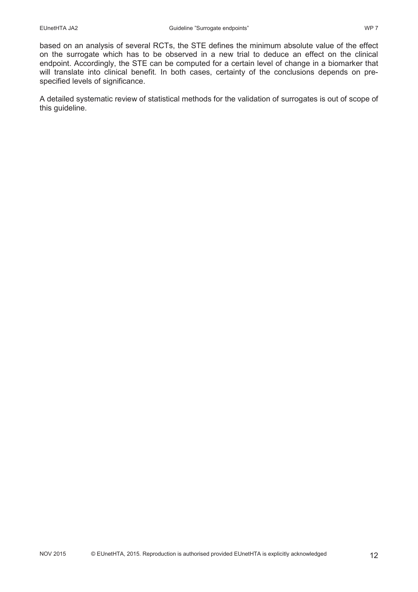based on an analysis of several RCTs, the STE defines the minimum absolute value of the effect on the surrogate which has to be observed in a new trial to deduce an effect on the clinical endpoint. Accordingly, the STE can be computed for a certain level of change in a biomarker that will translate into clinical benefit. In both cases, certainty of the conclusions depends on prespecified levels of significance.

A detailed systematic review of statistical methods for the validation of surrogates is out of scope of this guideline.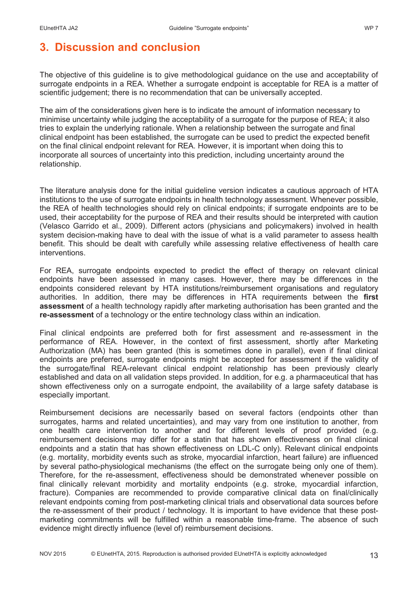The objective of this guideline is to give methodological guidance on the use and acceptability of surrogate endpoints in a REA. Whether a surrogate endpoint is acceptable for REA is a matter of scientific judgement; there is no recommendation that can be universally accepted.

The aim of the considerations given here is to indicate the amount of information necessary to minimise uncertainty while judging the acceptability of a surrogate for the purpose of REA; it also tries to explain the underlying rationale. When a relationship between the surrogate and final clinical endpoint has been established, the surrogate can be used to predict the expected benefit on the final clinical endpoint relevant for REA. However, it is important when doing this to incorporate all sources of uncertainty into this prediction, including uncertainty around the relationship.

The literature analysis done for the initial guideline version indicates a cautious approach of HTA institutions to the use of surrogate endpoints in health technology assessment. Whenever possible, the REA of health technologies should rely on clinical endpoints; if surrogate endpoints are to be used, their acceptability for the purpose of REA and their results should be interpreted with caution (Velasco Garrido et al., 2009). Different actors (physicians and policymakers) involved in health system decision-making have to deal with the issue of what is a valid parameter to assess health benefit. This should be dealt with carefully while assessing relative effectiveness of health care interventions.

For REA, surrogate endpoints expected to predict the effect of therapy on relevant clinical endpoints have been assessed in many cases. However, there may be differences in the endpoints considered relevant by HTA institutions/reimbursement organisations and regulatory authorities. In addition, there may be differences in HTA requirements between the **first assessment** of a health technology rapidly after marketing authorisation has been granted and the **re-assessment** of a technology or the entire technology class within an indication.

Final clinical endpoints are preferred both for first assessment and re-assessment in the performance of REA. However, in the context of first assessment, shortly after Marketing Authorization (MA) has been granted (this is sometimes done in parallel), even if final clinical endpoints are preferred, surrogate endpoints might be accepted for assessment if the validity of the surrogate/final REA-relevant clinical endpoint relationship has been previously clearly established and data on all validation steps provided. In addition, for e.g. a pharmaceutical that has shown effectiveness only on a surrogate endpoint, the availability of a large safety database is especially important.

Reimbursement decisions are necessarily based on several factors (endpoints other than surrogates, harms and related uncertainties), and may vary from one institution to another, from one health care intervention to another and for different levels of proof provided (e.g. reimbursement decisions may differ for a statin that has shown effectiveness on final clinical endpoints and a statin that has shown effectiveness on LDL-C only). Relevant clinical endpoints (e.g. mortality, morbidity events such as stroke, myocardial infarction, heart failure) are influenced by several patho-physiological mechanisms (the effect on the surrogate being only one of them). Therefore, for the re-assessment, effectiveness should be demonstrated whenever possible on final clinically relevant morbidity and mortality endpoints (e.g. stroke, myocardial infarction, fracture). Companies are recommended to provide comparative clinical data on final/clinically relevant endpoints coming from post-marketing clinical trials and observational data sources before the re-assessment of their product / technology. It is important to have evidence that these postmarketing commitments will be fulfilled within a reasonable time-frame. The absence of such evidence might directly influence (level of) reimbursement decisions.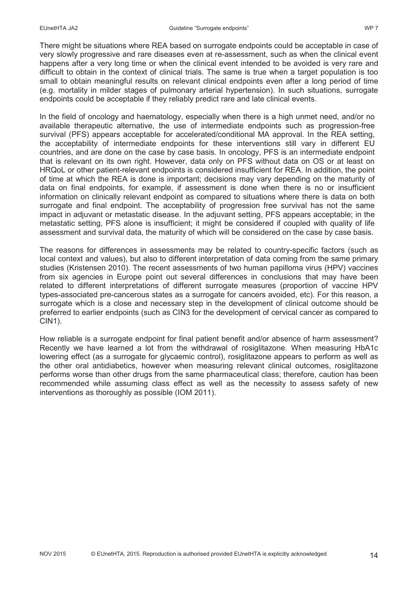There might be situations where REA based on surrogate endpoints could be acceptable in case of very slowly progressive and rare diseases even at re-assessment, such as when the clinical event happens after a very long time or when the clinical event intended to be avoided is very rare and difficult to obtain in the context of clinical trials. The same is true when a target population is too small to obtain meaningful results on relevant clinical endpoints even after a long period of time (e.g. mortality in milder stages of pulmonary arterial hypertension). In such situations, surrogate endpoints could be acceptable if they reliably predict rare and late clinical events.

In the field of oncology and haematology, especially when there is a high unmet need, and/or no available therapeutic alternative, the use of intermediate endpoints such as progression-free survival (PFS) appears acceptable for accelerated/conditional MA approval. In the REA setting, the acceptability of intermediate endpoints for these interventions still vary in different EU countries, and are done on the case by case basis. In oncology, PFS is an intermediate endpoint that is relevant on its own right. However, data only on PFS without data on OS or at least on HRQoL or other patient-relevant endpoints is considered insufficient for REA. In addition, the point of time at which the REA is done is important; decisions may vary depending on the maturity of data on final endpoints, for example, if assessment is done when there is no or insufficient information on clinically relevant endpoint as compared to situations where there is data on both surrogate and final endpoint. The acceptability of progression free survival has not the same impact in adjuvant or metastatic disease. In the adjuvant setting, PFS appears acceptable; in the metastatic setting, PFS alone is insufficient; it might be considered if coupled with quality of life assessment and survival data, the maturity of which will be considered on the case by case basis.

The reasons for differences in assessments may be related to country-specific factors (such as local context and values), but also to different interpretation of data coming from the same primary studies (Kristensen 2010). The recent assessments of two human papilloma virus (HPV) vaccines from six agencies in Europe point out several differences in conclusions that may have been related to different interpretations of different surrogate measures (proportion of vaccine HPV types-associated pre-cancerous states as a surrogate for cancers avoided, etc). For this reason, a surrogate which is a close and necessary step in the development of clinical outcome should be preferred to earlier endpoints (such as CIN3 for the development of cervical cancer as compared to CIN1).

How reliable is a surrogate endpoint for final patient benefit and/or absence of harm assessment? Recently we have learned a lot from the withdrawal of rosiglitazone. When measuring HbA1c lowering effect (as a surrogate for glycaemic control), rosiglitazone appears to perform as well as the other oral antidiabetics, however when measuring relevant clinical outcomes, rosiglitazone performs worse than other drugs from the same pharmaceutical class; therefore, caution has been recommended while assuming class effect as well as the necessity to assess safety of new interventions as thoroughly as possible (IOM 2011).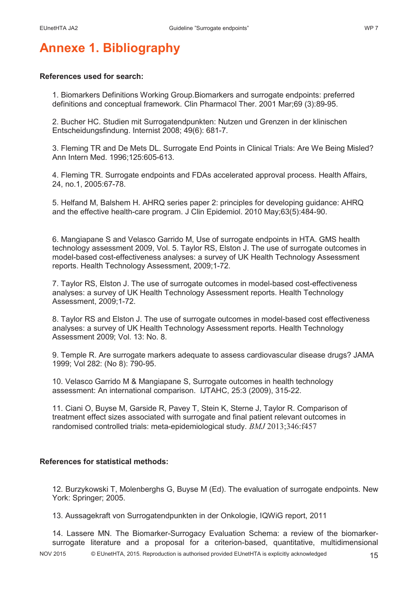# **Annexe 1. Bibliography**

### **References used for search:**

1. Biomarkers Definitions Working Group.Biomarkers and surrogate endpoints: preferred definitions and conceptual framework. Clin Pharmacol Ther. 2001 Mar;69 (3):89-95.

2. Bucher HC. Studien mit Surrogatendpunkten: Nutzen und Grenzen in der klinischen Entscheidungsfindung. Internist 2008; 49(6): 681-7.

3. Fleming TR and De Mets DL. Surrogate End Points in Clinical Trials: Are We Being Misled? Ann Intern Med. 1996;125:605-613.

4. Fleming TR. Surrogate endpoints and FDAs accelerated approval process. Health Affairs, 24, no.1, 2005:67-78.

5. Helfand M, Balshem H. AHRQ series paper 2: principles for developing guidance: AHRQ and the effective health-care program. J Clin Epidemiol. 2010 May;63(5):484-90.

6. Mangiapane S and Velasco Garrido M, Use of surrogate endpoints in HTA. GMS health technology assessment 2009, Vol. 5. Taylor RS, Elston J. The use of surrogate outcomes in model-based cost-effectiveness analyses: a survey of UK Health Technology Assessment reports. Health Technology Assessment, 2009;1-72.

7. Taylor RS, Elston J. The use of surrogate outcomes in model-based cost-effectiveness analyses: a survey of UK Health Technology Assessment reports. Health Technology Assessment, 2009;1-72.

8. Taylor RS and Elston J. The use of surrogate outcomes in model-based cost effectiveness analyses: a survey of UK Health Technology Assessment reports. Health Technology Assessment 2009; Vol. 13: No. 8.

9. Temple R. Are surrogate markers adequate to assess cardiovascular disease drugs? JAMA 1999; Vol 282: (No 8): 790-95.

10. Velasco Garrido M & Mangiapane S, Surrogate outcomes in health technology assessment: An international comparison. IJTAHC, 25:3 (2009), 315-22.

11. Ciani O, Buyse M, Garside R, Pavey T, Stein K, Sterne J, Taylor R. Comparison of treatment effect sizes associated with surrogate and final patient relevant outcomes in randomised controlled trials: meta-epidemiological study. *BMJ* 2013;346:f457

### **References for statistical methods:**

12. Burzykowski T, Molenberghs G, Buyse M (Ed). The evaluation of surrogate endpoints. New York: Springer; 2005.

13. Aussagekraft von Surrogatendpunkten in der Onkologie, IQWiG report, 2011

14. Lassere MN. The Biomarker-Surrogacy Evaluation Schema: a review of the biomarkersurrogate literature and a proposal for a criterion-based, quantitative, multidimensional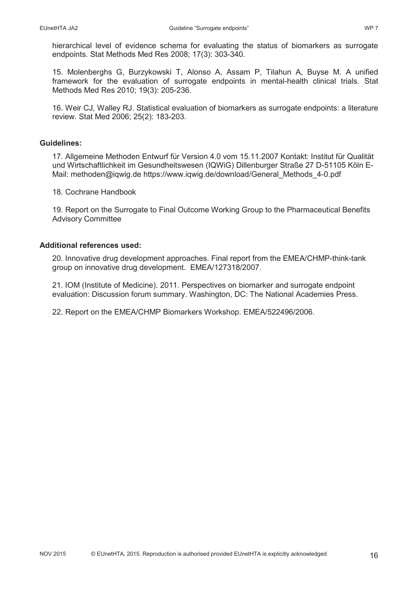hierarchical level of evidence schema for evaluating the status of biomarkers as surrogate endpoints. Stat Methods Med Res 2008; 17(3): 303-340.

15. Molenberghs G, Burzykowski T, Alonso A, Assam P, Tilahun A, Buyse M. A unified framework for the evaluation of surrogate endpoints in mental-health clinical trials. Stat Methods Med Res 2010; 19(3): 205-236.

16. Weir CJ, Walley RJ. Statistical evaluation of biomarkers as surrogate endpoints: a literature review. Stat Med 2006; 25(2): 183-203.

#### **Guidelines:**

17. Allgemeine Methoden Entwurf für Version 4.0 vom 15.11.2007 Kontakt: Institut für Qualität und Wirtschaftlichkeit im Gesundheitswesen (IQWiG) Dillenburger Straße 27 D-51105 Köln E-Mail: methoden@iqwig.de https://www.iqwig.de/download/General\_Methods\_4-0.pdf

18. Cochrane Handbook

19. Report on the Surrogate to Final Outcome Working Group to the Pharmaceutical Benefits Advisory Committee

#### **Additional references used:**

20. Innovative drug development approaches. Final report from the EMEA/CHMP-think-tank group on innovative drug development. EMEA/127318/2007.

21. IOM (Institute of Medicine). 2011. Perspectives on biomarker and surrogate endpoint evaluation: Discussion forum summary. Washington, DC: The National Academies Press.

22. Report on the EMEA/CHMP Biomarkers Workshop. EMEA/522496/2006.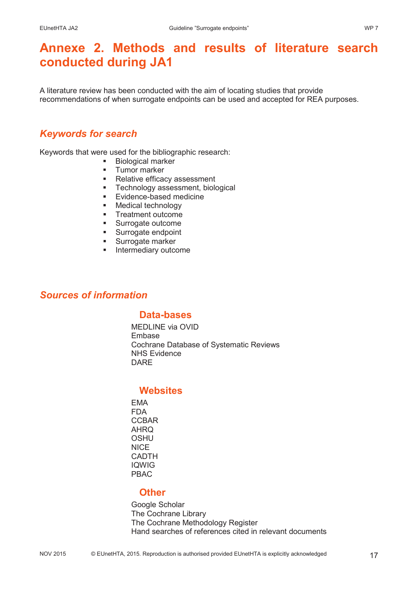# **Annexe 2. Methods and results of literature search conducted during JA1**

A literature review has been conducted with the aim of locating studies that provide recommendations of when surrogate endpoints can be used and accepted for REA purposes.

## *Keywords for search*

Keywords that were used for the bibliographic research:

- Biological marker
- **Tumor marker**
- Relative efficacy assessment
- **Technology assessment, biological**
- **Evidence-based medicine**
- **Medical technology**
- **Treatment outcome**
- **Surrogate outcome**
- **Surrogate endpoint**
- **Surrogate marker**
- **Intermediary outcome**

### *Sources of information*

### **Data-bases**

MEDLINE via OVID Embase Cochrane Database of Systematic Reviews NHS Evidence DARE

### **Websites**

EMA FDA **CCBAR** AHRQ **OSHU NICE** CADTH IQWIG PBAC

### **Other**

Google Scholar The Cochrane Library The Cochrane Methodology Register Hand searches of references cited in relevant documents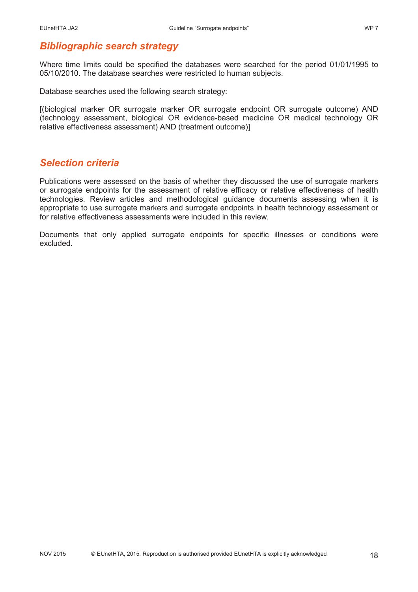## *Bibliographic search strategy*

Where time limits could be specified the databases were searched for the period 01/01/1995 to 05/10/2010. The database searches were restricted to human subjects.

Database searches used the following search strategy:

[(biological marker OR surrogate marker OR surrogate endpoint OR surrogate outcome) AND (technology assessment, biological OR evidence-based medicine OR medical technology OR relative effectiveness assessment) AND (treatment outcome)]

### *Selection criteria*

Publications were assessed on the basis of whether they discussed the use of surrogate markers or surrogate endpoints for the assessment of relative efficacy or relative effectiveness of health technologies. Review articles and methodological guidance documents assessing when it is appropriate to use surrogate markers and surrogate endpoints in health technology assessment or for relative effectiveness assessments were included in this review.

Documents that only applied surrogate endpoints for specific illnesses or conditions were excluded.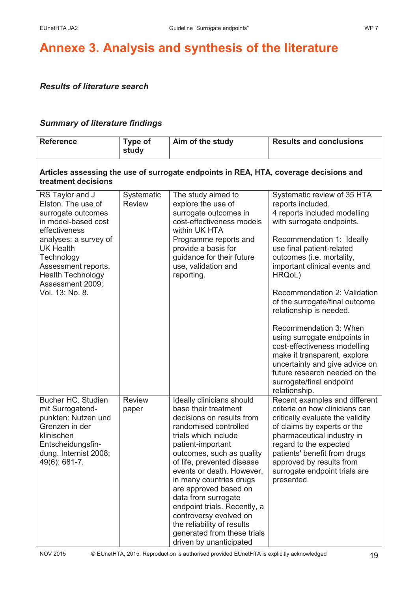# **Annexe 3. Analysis and synthesis of the literature**

### *Results of literature search*

### *Summary of literature findings*

| <b>Reference</b>                                                                                                                                                                                                                                         | Type of<br>study            | Aim of the study                                                                                                                                                                                                                                                                                                                                                                                                                                                          | <b>Results and conclusions</b>                                                                                                                                                                                                                                                                                                                                                                                                                                                                                                                                                         |  |
|----------------------------------------------------------------------------------------------------------------------------------------------------------------------------------------------------------------------------------------------------------|-----------------------------|---------------------------------------------------------------------------------------------------------------------------------------------------------------------------------------------------------------------------------------------------------------------------------------------------------------------------------------------------------------------------------------------------------------------------------------------------------------------------|----------------------------------------------------------------------------------------------------------------------------------------------------------------------------------------------------------------------------------------------------------------------------------------------------------------------------------------------------------------------------------------------------------------------------------------------------------------------------------------------------------------------------------------------------------------------------------------|--|
| Articles assessing the use of surrogate endpoints in REA, HTA, coverage decisions and<br>treatment decisions                                                                                                                                             |                             |                                                                                                                                                                                                                                                                                                                                                                                                                                                                           |                                                                                                                                                                                                                                                                                                                                                                                                                                                                                                                                                                                        |  |
| RS Taylor and J<br>Elston. The use of<br>surrogate outcomes<br>in model-based cost<br>effectiveness<br>analyses: a survey of<br><b>UK Health</b><br>Technology<br>Assessment reports.<br><b>Health Technology</b><br>Assessment 2009;<br>Vol. 13: No. 8. | Systematic<br><b>Review</b> | The study aimed to<br>explore the use of<br>surrogate outcomes in<br>cost-effectiveness models<br>within UK HTA<br>Programme reports and<br>provide a basis for<br>guidance for their future<br>use, validation and<br>reporting.                                                                                                                                                                                                                                         | Systematic review of 35 HTA<br>reports included.<br>4 reports included modelling<br>with surrogate endpoints.<br>Recommendation 1: Ideally<br>use final patient-related<br>outcomes (i.e. mortality,<br>important clinical events and<br>HRQoL)<br>Recommendation 2: Validation<br>of the surrogate/final outcome<br>relationship is needed.<br>Recommendation 3: When<br>using surrogate endpoints in<br>cost-effectiveness modelling<br>make it transparent, explore<br>uncertainty and give advice on<br>future research needed on the<br>surrogate/final endpoint<br>relationship. |  |
| Bucher HC. Studien<br>mit Surrogatend-<br>punkten: Nutzen und<br>Grenzen in der<br>klinischen<br>Entscheidungsfin-<br>dung. Internist 2008;<br>49(6): 681-7.                                                                                             | <b>Review</b><br>paper      | Ideally clinicians should<br>base their treatment<br>decisions on results from<br>randomised controlled<br>trials which include<br>patient-important<br>outcomes, such as quality<br>of life, prevented disease<br>events or death. However,<br>in many countries drugs<br>are approved based on<br>data from surrogate<br>endpoint trials. Recently, a<br>controversy evolved on<br>the reliability of results<br>generated from these trials<br>driven by unanticipated | Recent examples and different<br>criteria on how clinicians can<br>critically evaluate the validity<br>of claims by experts or the<br>pharmaceutical industry in<br>regard to the expected<br>patients' benefit from drugs<br>approved by results from<br>surrogate endpoint trials are<br>presented.                                                                                                                                                                                                                                                                                  |  |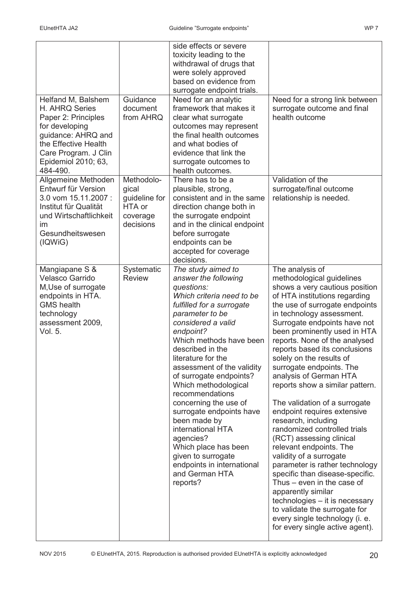| Helfand M, Balshem                                                                                                                                               | Guidance                                                                | side effects or severe<br>toxicity leading to the<br>withdrawal of drugs that<br>were solely approved<br>based on evidence from<br>surrogate endpoint trials.<br>Need for an analytic                                                                                                                                                                                                                                                                                                                                                                              | Need for a strong link between                                                                                                                                                                                                                                                                                                                                                                                                                                                                                                                                                                                                                                                                                                                                                                                                                                                                                    |
|------------------------------------------------------------------------------------------------------------------------------------------------------------------|-------------------------------------------------------------------------|--------------------------------------------------------------------------------------------------------------------------------------------------------------------------------------------------------------------------------------------------------------------------------------------------------------------------------------------------------------------------------------------------------------------------------------------------------------------------------------------------------------------------------------------------------------------|-------------------------------------------------------------------------------------------------------------------------------------------------------------------------------------------------------------------------------------------------------------------------------------------------------------------------------------------------------------------------------------------------------------------------------------------------------------------------------------------------------------------------------------------------------------------------------------------------------------------------------------------------------------------------------------------------------------------------------------------------------------------------------------------------------------------------------------------------------------------------------------------------------------------|
| H. AHRQ Series<br>Paper 2: Principles<br>for developing<br>guidance: AHRQ and<br>the Effective Health<br>Care Program. J Clin<br>Epidemiol 2010; 63,<br>484-490. | document<br>from AHRQ                                                   | framework that makes it<br>clear what surrogate<br>outcomes may represent<br>the final health outcomes<br>and what bodies of<br>evidence that link the<br>surrogate outcomes to<br>health outcomes.                                                                                                                                                                                                                                                                                                                                                                | surrogate outcome and final<br>health outcome                                                                                                                                                                                                                                                                                                                                                                                                                                                                                                                                                                                                                                                                                                                                                                                                                                                                     |
| Allgemeine Methoden<br>Entwurf für Version<br>3.0 vom 15.11.2007 :<br>Institut für Qualität<br>und Wirtschaftlichkeit<br>im<br>Gesundheitswesen<br>(IQWiG)       | Methodolo-<br>gical<br>guideline for<br>HTA or<br>coverage<br>decisions | There has to be a<br>plausible, strong,<br>consistent and in the same<br>direction change both in<br>the surrogate endpoint<br>and in the clinical endpoint<br>before surrogate<br>endpoints can be<br>accepted for coverage<br>decisions.                                                                                                                                                                                                                                                                                                                         | Validation of the<br>surrogate/final outcome<br>relationship is needed.                                                                                                                                                                                                                                                                                                                                                                                                                                                                                                                                                                                                                                                                                                                                                                                                                                           |
| Mangiapane S &<br><b>Velasco Garrido</b><br>M, Use of surrogate<br>endpoints in HTA.<br><b>GMS</b> health<br>technology<br>assessment 2009,<br>Vol. 5.           | Systematic<br><b>Review</b>                                             | The study aimed to<br>answer the following<br>questions:<br>Which criteria need to be<br>fulfilled for a surrogate<br>parameter to be<br>considered a valid<br>endpoint?<br>Which methods have been<br>described in the<br>literature for the<br>assessment of the validity<br>of surrogate endpoints?<br>Which methodological<br>recommendations<br>concerning the use of<br>surrogate endpoints have<br>been made by<br>international HTA<br>agencies?<br>Which place has been<br>given to surrogate<br>endpoints in international<br>and German HTA<br>reports? | The analysis of<br>methodological guidelines<br>shows a very cautious position<br>of HTA institutions regarding<br>the use of surrogate endpoints<br>in technology assessment.<br>Surrogate endpoints have not<br>been prominently used in HTA<br>reports. None of the analysed<br>reports based its conclusions<br>solely on the results of<br>surrogate endpoints. The<br>analysis of German HTA<br>reports show a similar pattern.<br>The validation of a surrogate<br>endpoint requires extensive<br>research, including<br>randomized controlled trials<br>(RCT) assessing clinical<br>relevant endpoints. The<br>validity of a surrogate<br>parameter is rather technology<br>specific than disease-specific.<br>Thus $-$ even in the case of<br>apparently similar<br>technologies - it is necessary<br>to validate the surrogate for<br>every single technology (i. e.<br>for every single active agent). |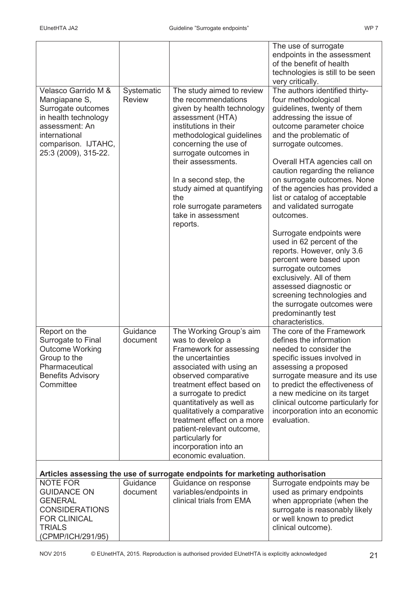| Velasco Garrido M &                                                                                                                           | Systematic           | The study aimed to review                                                                                                                                                                                                                                                                                                                                                                          | The use of surrogate<br>endpoints in the assessment<br>of the benefit of health<br>technologies is still to be seen<br>very critically.<br>The authors identified thirty-                                                                                                                                                                                |
|-----------------------------------------------------------------------------------------------------------------------------------------------|----------------------|----------------------------------------------------------------------------------------------------------------------------------------------------------------------------------------------------------------------------------------------------------------------------------------------------------------------------------------------------------------------------------------------------|----------------------------------------------------------------------------------------------------------------------------------------------------------------------------------------------------------------------------------------------------------------------------------------------------------------------------------------------------------|
| Mangiapane S,<br>Surrogate outcomes<br>in health technology<br>assessment: An<br>international<br>comparison. IJTAHC,<br>25:3 (2009), 315-22. | <b>Review</b>        | the recommendations<br>given by health technology<br>assessment (HTA)<br>institutions in their<br>methodological guidelines<br>concerning the use of<br>surrogate outcomes in<br>their assessments.<br>In a second step, the<br>study aimed at quantifying<br>the<br>role surrogate parameters                                                                                                     | four methodological<br>guidelines, twenty of them<br>addressing the issue of<br>outcome parameter choice<br>and the problematic of<br>surrogate outcomes.<br>Overall HTA agencies call on<br>caution regarding the reliance<br>on surrogate outcomes. None<br>of the agencies has provided a<br>list or catalog of acceptable<br>and validated surrogate |
|                                                                                                                                               |                      | take in assessment<br>reports.                                                                                                                                                                                                                                                                                                                                                                     | outcomes.<br>Surrogate endpoints were<br>used in 62 percent of the<br>reports. However, only 3.6<br>percent were based upon<br>surrogate outcomes<br>exclusively. All of them<br>assessed diagnostic or<br>screening technologies and<br>the surrogate outcomes were<br>predominantly test<br>characteristics.                                           |
| Report on the<br>Surrogate to Final<br><b>Outcome Working</b><br>Group to the<br>Pharmaceutical<br><b>Benefits Advisory</b><br>Committee      | Guidance<br>document | The Working Group's aim<br>was to develop a<br>Framework for assessing<br>the uncertainties<br>associated with using an<br>observed comparative<br>treatment effect based on<br>a surrogate to predict<br>quantitatively as well as<br>qualitatively a comparative<br>treatment effect on a more<br>patient-relevant outcome,<br>particularly for<br>incorporation into an<br>economic evaluation. | The core of the Framework<br>defines the information<br>needed to consider the<br>specific issues involved in<br>assessing a proposed<br>surrogate measure and its use<br>to predict the effectiveness of<br>a new medicine on its target<br>clinical outcome particularly for<br>incorporation into an economic<br>evaluation.                          |
| Articles assessing the use of surrogate endpoints for marketing authorisation                                                                 |                      |                                                                                                                                                                                                                                                                                                                                                                                                    |                                                                                                                                                                                                                                                                                                                                                          |
| <b>NOTE FOR</b><br><b>GUIDANCE ON</b><br><b>GENERAL</b><br><b>CONSIDERATIONS</b><br><b>FOR CLINICAL</b><br><b>TRIALS</b><br>(CPMP/ICH/291/95) | Guidance<br>document | Guidance on response<br>variables/endpoints in<br>clinical trials from EMA                                                                                                                                                                                                                                                                                                                         | Surrogate endpoints may be<br>used as primary endpoints<br>when appropriate (when the<br>surrogate is reasonably likely<br>or well known to predict<br>clinical outcome).                                                                                                                                                                                |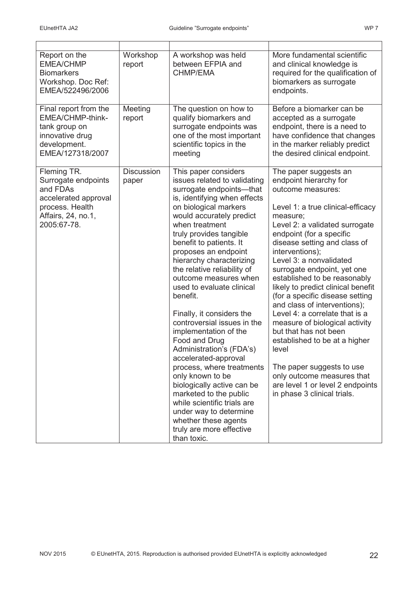| Report on the<br><b>EMEA/CHMP</b><br><b>Biomarkers</b><br>Workshop. Doc Ref:<br>EMEA/522496/2006                               | Workshop<br>report         | A workshop was held<br>between EFPIA and<br><b>CHMP/EMA</b>                                                                                                                                                                                                                                                                                                                                                                                                                                                                                                                                                                                                                                                                                                                                       | More fundamental scientific<br>and clinical knowledge is<br>required for the qualification of<br>biomarkers as surrogate<br>endpoints.                                                                                                                                                                                                                                                                                                                                                                                                                                                                                                                                                                         |
|--------------------------------------------------------------------------------------------------------------------------------|----------------------------|---------------------------------------------------------------------------------------------------------------------------------------------------------------------------------------------------------------------------------------------------------------------------------------------------------------------------------------------------------------------------------------------------------------------------------------------------------------------------------------------------------------------------------------------------------------------------------------------------------------------------------------------------------------------------------------------------------------------------------------------------------------------------------------------------|----------------------------------------------------------------------------------------------------------------------------------------------------------------------------------------------------------------------------------------------------------------------------------------------------------------------------------------------------------------------------------------------------------------------------------------------------------------------------------------------------------------------------------------------------------------------------------------------------------------------------------------------------------------------------------------------------------------|
| Final report from the<br>EMEA/CHMP-think-<br>tank group on<br>innovative drug<br>development.<br>EMEA/127318/2007              | Meeting<br>report          | The question on how to<br>qualify biomarkers and<br>surrogate endpoints was<br>one of the most important<br>scientific topics in the<br>meeting                                                                                                                                                                                                                                                                                                                                                                                                                                                                                                                                                                                                                                                   | Before a biomarker can be<br>accepted as a surrogate<br>endpoint, there is a need to<br>have confidence that changes<br>in the marker reliably predict<br>the desired clinical endpoint.                                                                                                                                                                                                                                                                                                                                                                                                                                                                                                                       |
| Fleming TR.<br>Surrogate endpoints<br>and FDAs<br>accelerated approval<br>process. Health<br>Affairs, 24, no.1,<br>2005:67-78. | <b>Discussion</b><br>paper | This paper considers<br>issues related to validating<br>surrogate endpoints-that<br>is, identifying when effects<br>on biological markers<br>would accurately predict<br>when treatment<br>truly provides tangible<br>benefit to patients. It<br>proposes an endpoint<br>hierarchy characterizing<br>the relative reliability of<br>outcome measures when<br>used to evaluate clinical<br>benefit.<br>Finally, it considers the<br>controversial issues in the<br>implementation of the<br>Food and Drug<br>Administration's (FDA's)<br>accelerated-approval<br>process, where treatments<br>only known to be<br>biologically active can be<br>marketed to the public<br>while scientific trials are<br>under way to determine<br>whether these agents<br>truly are more effective<br>than toxic. | The paper suggests an<br>endpoint hierarchy for<br>outcome measures:<br>Level 1: a true clinical-efficacy<br>measure;<br>Level 2: a validated surrogate<br>endpoint (for a specific<br>disease setting and class of<br>interventions);<br>Level 3: a nonvalidated<br>surrogate endpoint, yet one<br>established to be reasonably<br>likely to predict clinical benefit<br>(for a specific disease setting<br>and class of interventions);<br>Level 4: a correlate that is a<br>measure of biological activity<br>but that has not been<br>established to be at a higher<br>level<br>The paper suggests to use<br>only outcome measures that<br>are level 1 or level 2 endpoints<br>in phase 3 clinical trials. |